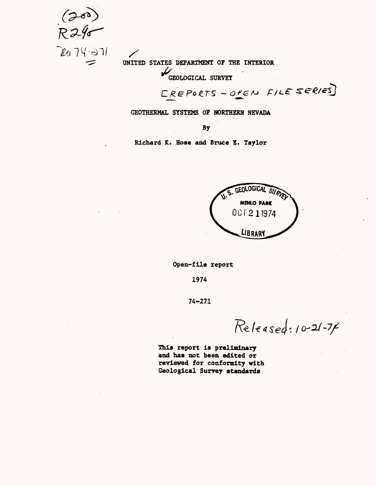$20.74 - 371$ 

UNITED STATES DEPARTMENT OF THE INTERIOR

GEOLOGICAL SURVEY

CREPORTS - OPEN FILE SERIES

GEOTHERMAL SYSTEMS OF NORTHERN NEVADA

By

Richard K. Hose and Bruce E. Taylor



Open-file report

1974

74-271

Released: 10-21-74

This report Is preliminary and has not been edited or reviewed for conformity with Geological Survey standards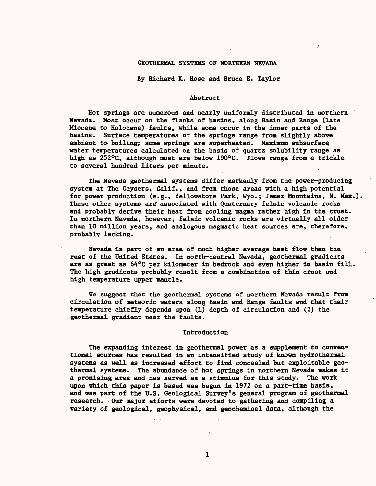# GEOTHERMAL SYSTEMS OF NORTHERN NEVADA

By Richard K. Hose and Bruce E. Taylor

## Abstract

Hot springs are numerous and nearly uniformly distributed in northern Nevada. Most occur on the flanks of basins, along Basin and Range (late Miocene to Holocene) faults, while some occur in the inner parts of the basins. Surface temperatures of the springs range from slightly above ambient to- boiling; some springs are superheated. Maximum subsurface water temperatures calculated on the basis of quartz solubility range as high as 252°C, although most are below 190°C. Flows range from a trickle to several hundred liters per minute.

The Nevada geothermal systems differ markedly from the power-producing system at The Geysers, Calif., and from those areas with a high potential for power production (e.g., Yellowstone Park, Wyo.; Jemez Mountains, N. Hex.). These other systems are associated with Quaternary felsic volcanic rocks and probably derive their heat from cooling magma rather high in the crust. In northern Nevada, however, felsic volcanic rocks are virtually all older than 10 million years, and.analogous magmatic heat sources are, therefore, probably lacking.

Nevada is part of an area of much higher average heat flow than the rest of the United States. In north-central Nevada, geothermal gradients are as great as 64°C per kilometer in bedrock and even higher in basin fill. The high gradients probably result from a combination of thin crust and high temperature upper mantle.

We suggest that the geothermal systems of northern Nevada result from circulation of meteoric waters along Basin and Range faults and that their temperature chiefly depends upon (1) depth of circulation and (2) the geothermal gradient near the faults.

### Introduction

The expanding interest in geothermal power as a supplement to conventional sources has resulted in an intensified study of known hydrothermal systems as well as increased effort to find concealed but exploitable geothermal systems. The abundance of hot springs in northern Nevada makes it a promising area and has served as a stimulus for this study. The work upon which this paper is based was begun in 1972 on a part-time basis, and was part of the U.S. Geological Survey's general program of geothermal research. Our major efforts were devoted to gathering and compiling a variety of geological, geophysical, and geochemical data, although the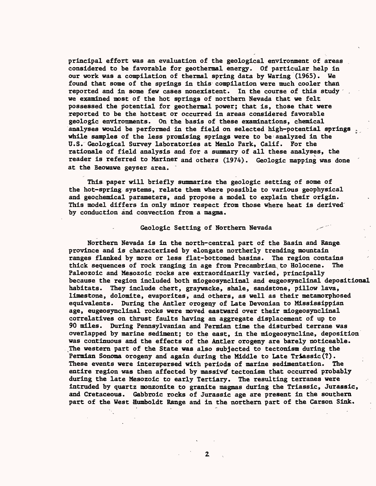principal effort was an evaluation of the geological environment of areas considered to be favorable for geothermal energy. Of particular help in our work was a compilation of thermal spring data by Waring (1965). We found that some of the springs in this compilation were much cooler than reported and in some few cases nonexistent. In the course of this study we examined most of the hot springs of northern Nevada that we felt possessed the potential for geothermal power; that is, those that were reported to be the hottest or occurred in areas considered favorable geologic environments. On the basis of these examinations, chemical analyses would be performed in the field on selected high-potential springs , while samples of the less promising springs were to be analyzed in the U.S. Geological Survey laboratories at Menlo Park, Calif. For the rationale of field analysis and for a summary of all these analyses, the reader is referred to Mariner and others (1974). Geologic mapping was done at the Beowawe geyser area.

This paper will briefly summarize the geologic setting of some of the hot-spring systems, relate them where possible to various geophysical and geochemical parameters, and propose a model to explain their origin. This model differs in only minor respect from those where heat is derived by conduction and convection from a magma.

## Geologic Setting of Northern Nevada

Northern Nevada is in the north-central part of the Basin and Range province and is characterized by elongate northerly trending mountain ranges flanked by more or less flat-bottomed basins. The region contains thick sequences of rock ranging in age from Precambrian to Holocene. The Paleozoic and Mesozoic rocks are extraordinarily varied, principally because the region included both miogeosynclinal and eugeosynclinal depositional habitats. They include chert, graywacke, shale, sandstone, pillow lava, limestone, dolomite, evaporites, and others, as well as their metamorphosed equivalents. During the Antler orogeny of Late Devonian to Mississippian age, eugeosynclinal rocks were moved eastward over their miogeosynclinal correlatives on thrust faults having an aggregate displacement of up to 90 miles. During Pennsylvanian and Permian time the disturbed terrane was overlapped by marine sediment; to the east, in the miogeosyncline, deposition was continuous and the effects of the Antler orogeny are barely noticeable. The western part of the State was also subjected to tectonism during the Permian Sonoma orogeny and again during the Middle to Late Triassic(?). These events were interspersed with periods of marine sedimentation. The entire region was then affected by massive tectonism that occurred probably during the late Mesozoic to early Tertiary. The resulting terranes were intruded by quartz monzonite to granite magmas during the Trlassie, Jurassic, and Cretaceous. Gabbroic rocks of Jurassic age are present in the southern part of the West flumboldt Range and in the northern part of the Carson Sink.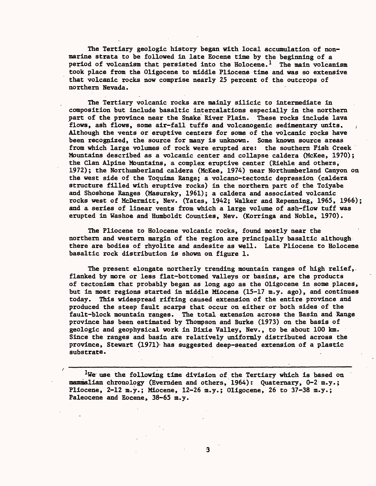The Tertiary geologic history began with local accumulation of nonmarine strata to be followed in late Eocene time by the beginning of a period of volcanism that persisted into the Holocene.<sup>1</sup> The main volcanism took place from the Oligocene to middle Pliocene time and was so extensive that volcanic rocks now comprise nearly 25 percent of the outcrops of northern Nevada.

The Tertiary volcanic rocks are mainly silicic to intermediate in composition but include basaltic intercalations especially in the northern part of the province near the Snake River Plain. These rocks include lava flows, ash flows, some air-fall tuffs and volcanogenic sedimentary units. Although the vents or eruptive centers for some of the volcanic rocks have been recognized, the source for many is unknown. Some known source areas from which large volumes of rock were erupted are: the southern Fish Creek Mountains described as a volcanic center and collapse caldera (McKee, 1970); the Clan Alpine Mountains, a complex eruptive center (Riehle and others, 1972); the Northumberland caldera (McKee, 1974) near Northumberland Canyon on the west side of the Toquima Range; a volcano-tectonic depression (caldera structure filled with eruptive rocks) in the northern part of the Toiyabe and Shoshone Ranges (Masursky, 1961) ; a caldera and associated volcanic rocks west of McDermitt, Nev. (Yates, 1942; Walker and Repenning, 1965, 1966); and a series of linear vents from which a large volume of ash-flow tuff was erupted in Washoe and Humboldt Counties, Nev. (Korringa and Noble, 1970).

The Pliocene to Holocene volcanic rocks, found mostly near the northern and western margin of the region are principally basaltic although there are bodies of rhyolite and andesite as well. Late Pliocene to Holocene basaltic rock distribution is shown on figure 1.

The present elongate northerly trending mountain ranges of high relief, flanked by more or less flat-bottomed valleys or basins, are the products of tectonism that probably began as long ago as the Oligocene in some places, but in most regions started in middle Miocene (15-17 m.y. ago) , and continues today. This widespread rifting caused extension of the entire province and produced the steep fault scarps that occur on either or both sides of the fault-block mountain ranges. The total extension across the Basin and Range province has been estimated by Thompson and Burke (1973) on the basis of geologic and geophysical work in Dixie Valley, Nev. , to be about 100 km. Since the ranges and basin are relatively uniformly distributed across the province, Stewart (1971) has suggested deep-seated extension of a plastic substrate.

We use the following time division of the Tertiary which is based on mammalian chronology (Evemden and others, 1964): Quaternary, 0-2 m.y.; Pliocene, 2-12 m.y.; Miocene, 12-26 m.y.; Oligocene, 26 to 37-38 m.y.; Paleocene and Eocene, 38-65 m.y.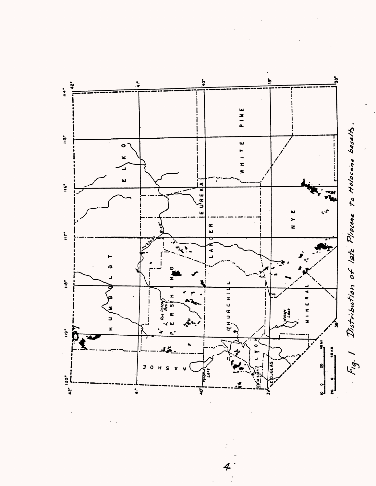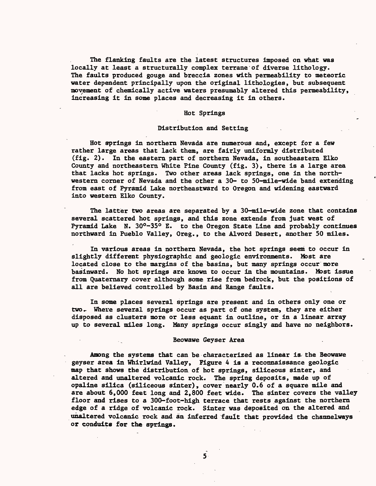The flanking faults are the latest structures imposed on what was locally at least a structurally complex terrane of diverse lithology. The faults produced gouge and breccia zones with permeability to meteoric water dependent principally upon the original lithologies, but subsequent movement of chemically active waters presumably altered this permeability, increasing it in some places and decreasing it in others.

### Hot Springs

# Distribution and Setting

Hot springs in northern Nevada are numerous and, except for a few rather large areas that lack them, are fairly uniformly distributed (fig. 2). In the eastern part of northern Nevada, in southeastern Elko County and northeastern White Pine County (fig. 3), there is a large area that lacks hot springs. Two other areas lack springs, one in the northwestern corner of Nevada and the other a 30- to 50-mile-wide band extending from east of Pyramid Lake northeastward to Oregon and widening eastward into western Elko County.

The latter two areas are separated by a 30-mile-wide zone that contains several scattered hot springs, and this zone extends from just west of Pyramid Lake N. 30°-35° E. to the Oregon State Line and probably continues northward in Pueblo Valley, Oreg., to the Alvord Desert, another 50 miles.

In various areas in northern Nevada, the hot springs seem to occur in slightly different physiographic and geologic environments. Most are located close to the margins of the basins, but many springs occur more basinward. No hot springs are known to occur in the mountains. Most issue from Quaternary cover although some rise from bedrock, but the positions of all are believed controlled by Basin and Range faults.

In some places several springs are present and in others only one or two. Where several springs occur as part of one system, they are either disposed as clusters more or less equant in outline, or in a linear array up to several miles long. Many springs occur singly and have no neighbors.

### Beowawe Geyser Area

Among the systems that can be characterized as linear is the Beowawe geyser area in Whirlwind Valley, Figure 4 is a reconnaissance geologic map that shows the distribution of hot springs, siliceous sinter, and altered and unaltered volcanic rock. The spring deposits, made up of opaline silica (siliceous sinter), cover nearly 0.6 of a square mile and are about 6,000 feet long and 2,800 feet wide. The sinter covers the valley floor and rises to a 300-foot-high terrace that rests against the northern edge of a ridge of volcanic rock. Sinter was deposited on the altered and unaltered volcanic rock and an inferred fault that provided the channelways or conduits for the springs.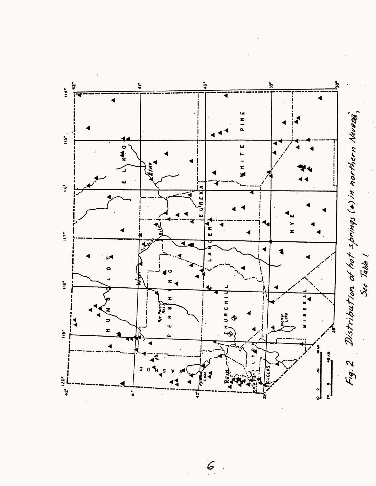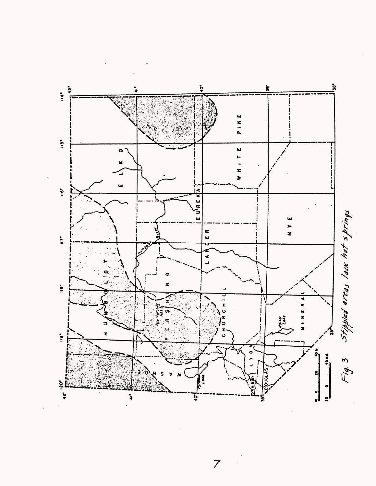

 $\overline{z}$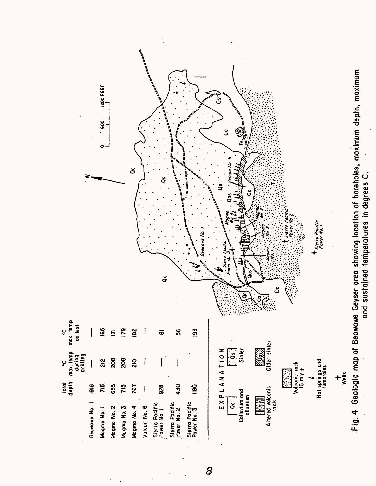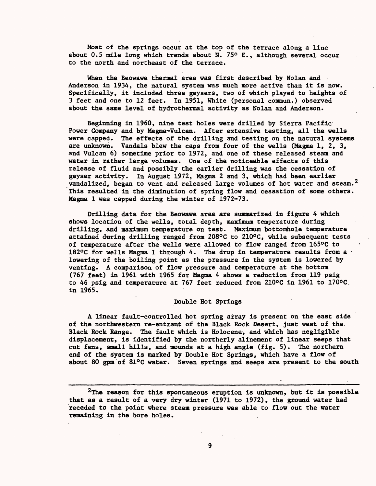Most of the springs occur at the top of the terrace along a line about 0.5 mile long which trends about N. 75° E., although several occur to the north and northeast of the terrace.

When the Beowawe thermal area was first described by Nolan and Anderson in 1934, the natural system was much more active than it is now. Specifically, it included three geysers, two of which played to heights of 3 feet and one to 12 feet. In 1951, White (personal commun.) observed about the same level of hydrothermal activity as Nolan and Anderson.

Beginning in 1960, nine test holes were drilled by Sierra Pacific Power Company and by Magma-Vulcan. After extensive testing, all the wells were capped. The effects of the drilling and testing on the natural systems are unknown. Vandals blew the caps from four of the wells (Magma 1, 2, 3, and Vulcan 6) sometime prior to 1972, and one of these released steam and water in rather large volumes. One of the noticeable effects of this release of fluid and possibly the earlier drilling was the cessation of geyser activity. In August 1972, Magma 2 and 3, which had been earlier vandalized, began to vent and released large volumes of hot water and steam.<sup>2</sup> This resulted in the diminution of spring flow and cessation of some others. Magma 1 was capped during the winter of 1972-73.

Drilling data for the Beowawe area are summarized in figure 4 which shows location of the wells, total depth, maximum temperature during drilling, and maximum temperature on test. Maximum bottomhole temperature attained during drilling ranged from 208°C to 210°C, while subsequent tests of temperature after the wells were allowed to flow ranged from 165°C to ' 182°C for wells Magma 1 through 4. The drop in temperature results from a  $\cdot$ lowering of the boiling point as the pressure in the system is lowered by venting. A comparison of flow pressure and temperature at the bottom (767 feet) in 1961 with 1965 for Magma 4 shows a reduction from 119 psig to 46 psig and temperature at 767 feet reduced from 210°C in 1961 to 170°C in 1965.

### Double Hot Springs

A linear fault-controlled hot spring array is present on the east side of the northwestern re-entrant of the Black Rock Desert, just west of the Black Rock Range. The fault which is Holocene, and which has negligible displacement, is identified by the northerly alinement of linear seeps that cut fans, small hills, and mounds at a high angle (fig. 5). The northern end of the system is marked by Double Hot Springs, which have a flow of about 80 gpm of 81°C water. Seven springs and seeps are present to the south

<sup>2</sup>The reason for this spontaneous eruption is unknown, but it is possible that as a result of a very dry winter (1971 to 1972), the ground water had receded to the point where steam pressure was able to flow out the water remaining in the bore holes.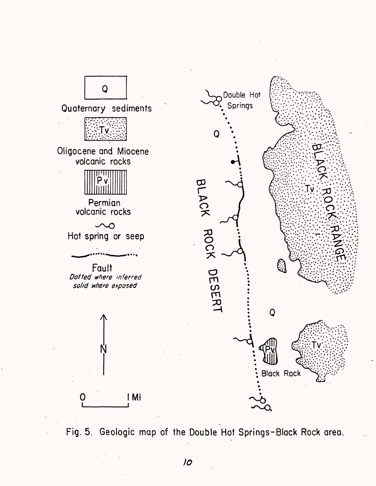

Fig. 5. Geologic map of the Double Hot Springs-Black Rock area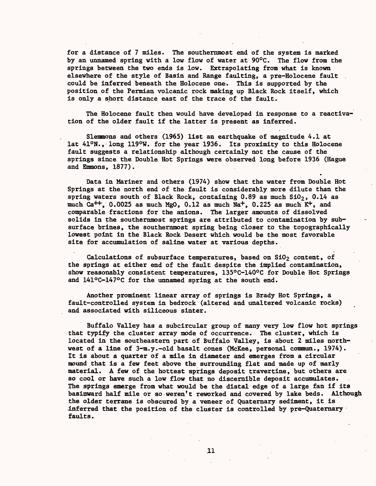for a distance of 7 miles. The southernmost end of the system is marked by an unnamed spring with a low flow of water at 90°C. The flow from the springs between the two ends is low. Extrapolating from what is known elsewhere of the style of Basin and Range faulting, a pre-Holocene fault could be inferred beneath the Holocene one. This is supported by the position of the Permian volcanic rock making up Black Rock itself, which is only a short distance east of the trace of the fault.

The Holocene fault then would have developed in response to a reactivation of the older fault if the latter is present as inferred.

Slemmons and others (1965) list an earthquake of magnitude 4.1 at lat 41°N., long 119°W. for the year 1936. Its proximity to this Holocene fault suggests a relationship although certainly not the cause of the springs since the Double Hot Springs were observed long before 1936 (Hague and Emmons, 1877).

Data in Mariner and others (1974) show that the water from Double Hot Springs at the north end of the fault is considerably more dilute than the spring waters south of Black Rock, containing  $0.89$  as much  $S10<sub>2</sub>$ ,  $0.14$  as much Ca<sup>++</sup>, 0.0025 as much MgO, 0.12 as much Na<sup>+</sup>, 0.225 as much  $K^+$ , and comparable fractions for the anions. The larger amounts of dissolved solids in the southernmost springs are attributed to contamination by subsurface brines, the southernmost spring being closer to the topographically lowest point in the Black Rock Desert which would be the most favorable site for accumulation of saline water at various depths.

Calculations of subsurface temperatures, based on  $SiO<sub>2</sub>$  content, of the springs at either end of the fault despite the implied contamination, show reasonably consistent temperatures, 135°C-140°C for Double Hot Springs and 141°C-147°C for the unnamed spring at the south end.

Another prominent linear array of springs is Brady Hot Springs, a fault-controlled system in bedrock (altered and unaltered volcanic rocks) and associated with siliceous sinter.

Buffalo Valley has a subcircular group of many very low flow hot springs that typify the cluster array mode of occurrence. The cluster, which is located in the southeastern part of Buffalo Valley, is about 2 miles northwest of a line of 3-m.y.-old basalt cones (McKee, personal commun., 1974). It is about a quarter of a mile in diameter and emerges from a circular mound that is a few feet above the surrounding flat and made up of marly material. A few of the hottest springs deposit travertine, but others are so cool or have such a low flow that no discernible deposit accumulates. The springs emerge from what would be the distal edge of a large fan if its basinward half mile or so weren't reworked and covered by lake beds. Although the older terrane is obscured by a veneer of Quaternary sediment, it is inferred that the position of the cluster is controlled by pre-Quaternary faults.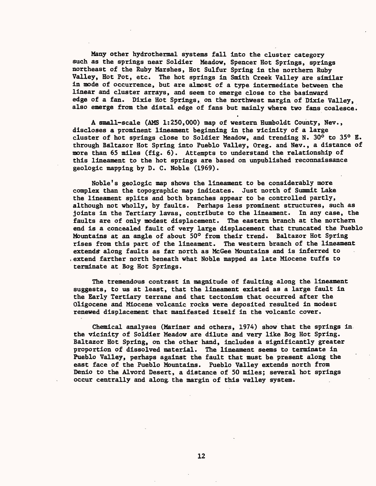Many other hydrothermal systems fall into the cluster category such as the springs near Soldier Meadow, Spencer Hot Springs, springs northeast of the Ruby Marshes, Hot Sulfur Spring in the northern Ruby Valley, Hot Pot, etc. The hot springs in Smith Creek Valley are similar in mode of occurrence, but are almost of a type intermediate between the linear and cluster arrays, and seem to emerge close to the basinward edge of a fan. Dixie Hot Springs, on the northwest margin of Dixie Valley, also emerge from the distal edge of fans but mainly where two fans coalesce.

A small-scale (AMS 1:250,000) map of western Humboldt County, Nev., discloses a prominent lineament beginning in the vicinity of a large cluster of hot springs close to Soldier Meadow, and trending N. 30° to 35° E. through Bdltazor Hot Spring into Pueblo Valley, Oreg. and Nev., a distance of more than 65 miles (fig. 6). Attempts to understand the relationship of this lineament to the hot springs are based on unpublished reconnaissance geologic mapping by D. C. Noble (1969).

Noble's geologic map shows the lineament to be considerably more complex than the topographic map indicates. Just north of Summit Lake the lineament splits and both branches appear to be controlled partly, although not wholly, by faults. Perhaps less prominent structures, such as joints in the Tertiary lavas, contribute to the lineament. In any case, the faults are of only modest displacement. The eastern branch at the northern end is a concealed fault of very large displacement that truncated the Pueblo Mountains at an angle of about 50° from their trend. Baltazor Hot Spring rises from this part of the lineament. The western branch of the lineament extend^ along faults as far north as MeGee Mountains and is inferred to ,extend farther north beneath what Noble mapped as late Miocene tuffs to terminate at Bog Hot Springs.

The tremendous contrast in magnitude of faulting along the lineament suggests, to us at least, that the lineament existed as a large fault in the Early Tertiary terrane and that tectonism that occurred after the Oligocene and Miocene volcanic rocks were deposited resulted in modest renewed displacement that manifested itself in the volcanic cover.

Chemical analyses (Mariner and others, 1974) show that the springs in the vicinity of Soldier Meadow are dilute and very like Bog Hot Spring. Baltazor Hot Spring, on the other hand, includes a significantly greater proportion of dissolved material. The lineament seems to terminate in Pueblo Valley, perhaps against the fault that must be present along the east face of the Pueblo Mountains. Pueblo Valley extends north from Denio to the Alvord Desert, a distance of 50 miles; several hot springs occur centrally and along, the margin of this valley system.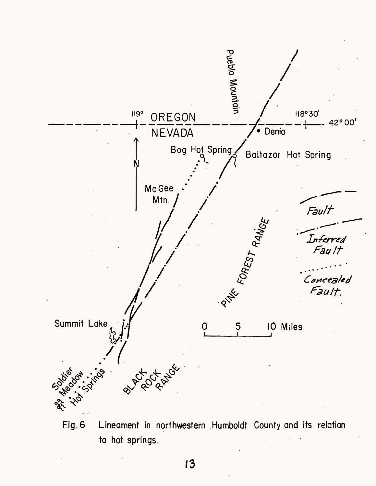

Fig. 6 Lineament in northwestern Humboldt County and its relation to hot springs.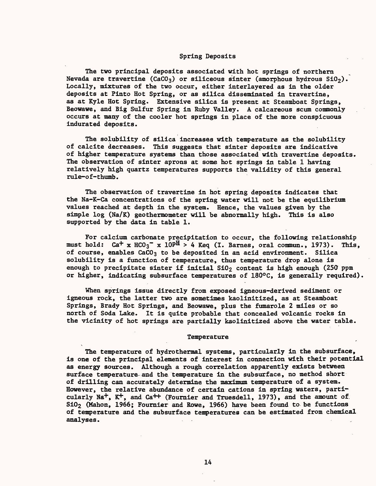### Spring Deposits

The two principal deposits associated with hot springs of northern Nevada are travertine (CaCO<sub>3</sub>) or siliceous sinter (amorphous hydrous  $SiO<sub>2</sub>$ ). Locally, mixtures of the two occur, either interlayered as in the older deposits at Pinto Hot Spring, or as silica disseminated in travertine, as at Kyle Hot Spring. Extensive silica is present at Steamboat Springs, Beowawe, and Big Sulfur Spring in Ruby Valley. A calcareous scum commonly occurs at many of the cooler hot springs in place of the more conspicuous indurated deposits.

The solubility of silica increases with temperature as the solubility of calcite decreases. This suggests that sinter deposits are indicative of higher temperature systems than those associated with travertine deposits. The observation of sinter aprons at some hot springs in table 1 having relatively high quartz temperatures supports the validity of this general rule-o f-thumb.

The observation of travertine in hot spring deposits indicates that the Na-K-Ca concentrations of the spring water will not be the equilibrium values reached at depth in the system. Hence, the values given by the simple log (Na/K) geothermometer will be abnormally high. This is also supported by the data in table 1.

For calcium carbonate precipitation to occur, the following relationship must hold:  $Ca^+ \times HCO_3^- \times 10^{pH} > 4$  Keq (I. Barnes, oral commun., 1973). This, of course, enables  $CaCO<sub>3</sub>$  to be deposited in an acid environment. Silica solubility is a function of temperature, thus temperature drop alone is enough to precipitate sinter if initial  $S10<sub>2</sub>$  content is high enough (250 ppm or higher, indicating subsurface temperatures of 180°C, is generally required).

When springs issue directly from exposed igneous-derived sediment or igneous rock, the latter two are sometimes kaolinitized, as at Steamboat Springs, Brady Hot Springs, and Beowawe, plus the fumarole 2 miles or so north of Soda Lake. It is quite probable that concealed volcanic rocks in the vicinity of hot springs are partially kaolinitized above the water table.

#### Temperature

The temperature of hydrothermal systems, particularly in the subsurface, is one of the principal elements of interest in connection with their potential as energy sources. Although a rough correlation apparently exists between surface temperature-and the temperature in the subsurface, no method short of drilling can accurately determine the maximum temperature of a system. However, the relative abundance of certain cations in spring waters, particularly  $\text{Na}^+$ ,  $\text{K}^+$ , and  $\text{Ca}^{++}$  (Fournier and Truesdell, 1973), and the amount of.  $S10<sub>2</sub>$  (Mahon, 1966; Fournier and Rowe, 1966) have been found to be functions of temperature and the subsurface temperatures can be estimated from chemical analyses. The contract of the contract of the contract of the contract of the contract of the contract of the contract of the contract of the contract of the contract of the contract of the contract of the contract of the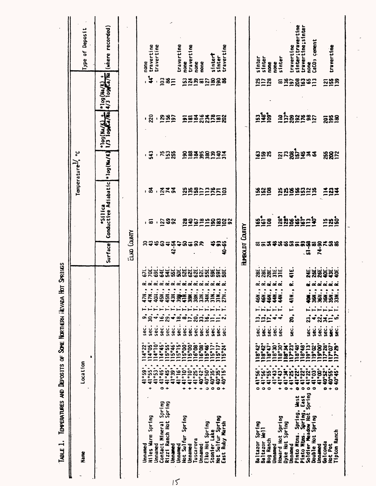|                                                   | Type of Deposit                    | (where recorded)                   |                    | none                          | travertine<br>travertine                                                                  |                                                                              |                                                                                                                                                                                                               | travertine                                                                                | travertine<br>none                                                                                                                                                                                                                                                                                                                                                            | none                                       | none                                                                                           |                                     | sintert<br>sinter                                | travertine                          |                 | sinter                          | sinter                                              | none<br>none                                                                                           | sinter                                                                                           | travertine                                                 | sinter;travertine                                                                                               | travertine;sinter<br>none                  | CaCO <sub>3</sub> cement                                  |                                                                                                                                                                        | travertine                                                   |
|---------------------------------------------------|------------------------------------|------------------------------------|--------------------|-------------------------------|-------------------------------------------------------------------------------------------|------------------------------------------------------------------------------|---------------------------------------------------------------------------------------------------------------------------------------------------------------------------------------------------------------|-------------------------------------------------------------------------------------------|-------------------------------------------------------------------------------------------------------------------------------------------------------------------------------------------------------------------------------------------------------------------------------------------------------------------------------------------------------------------------------|--------------------------------------------|------------------------------------------------------------------------------------------------|-------------------------------------|--------------------------------------------------|-------------------------------------|-----------------|---------------------------------|-----------------------------------------------------|--------------------------------------------------------------------------------------------------------|--------------------------------------------------------------------------------------------------|------------------------------------------------------------|-----------------------------------------------------------------------------------------------------------------|--------------------------------------------|-----------------------------------------------------------|------------------------------------------------------------------------------------------------------------------------------------------------------------------------|--------------------------------------------------------------|
|                                                   |                                    | *109 (Na/K) +<br>4/3 109 Ca/Na     |                    |                               |                                                                                           |                                                                              | 285                                                                                                                                                                                                           |                                                                                           | 52852888                                                                                                                                                                                                                                                                                                                                                                      |                                            |                                                                                                |                                     |                                                  |                                     |                 |                                 | 2528                                                |                                                                                                        | ౚ                                                                                                |                                                            | 228282                                                                                                          |                                            |                                                           |                                                                                                                                                                        | <u>ក្នុងខ្លួ</u>                                             |
|                                                   |                                    | *109(Na/K) +                       |                    |                               |                                                                                           |                                                                              | <u>, ខ្លួ , ខ្លួន៦</u>                                                                                                                                                                                        |                                                                                           | <b>EEIS 32528</b>                                                                                                                                                                                                                                                                                                                                                             |                                            |                                                                                                |                                     |                                                  |                                     |                 |                                 | ដូងទី                                               |                                                                                                        |                                                                                                  |                                                            | $\frac{1}{2}$ $\frac{1}{2}$ $\frac{1}{2}$ $\frac{1}{2}$ $\frac{1}{2}$ $\frac{1}{2}$ $\frac{1}{2}$ $\frac{1}{2}$ |                                            |                                                           |                                                                                                                                                                        | <u>ន្តុងខ</u>                                                |
|                                                   | ں<br>ہ<br>Temperature <sup>1</sup> | *1og(Na/K)                         |                    |                               | $-543$                                                                                    |                                                                              | <u>ុងបិង្គិ</u>                                                                                                                                                                                               |                                                                                           | <b>SSESSSPF5</b>                                                                                                                                                                                                                                                                                                                                                              |                                            |                                                                                                |                                     |                                                  |                                     |                 |                                 | ន្ទ្រាន                                             |                                                                                                        |                                                                                                  |                                                            | <b>ក្តួដន្តិធ្វី ដឹង</b>                                                                                        |                                            |                                                           |                                                                                                                                                                        | <b>3822</b>                                                  |
|                                                   |                                    | Conductive Adiabatic<br>$*$ Silica |                    |                               | , వ                                                                                       |                                                                              | .873                                                                                                                                                                                                          |                                                                                           | 25822252                                                                                                                                                                                                                                                                                                                                                                      |                                            |                                                                                                |                                     |                                                  |                                     |                 |                                 | ន្ទ្រន្ទ                                            |                                                                                                        |                                                                                                  |                                                            | <u>ង្កូត្តនិងចិងដ</u>                                                                                           |                                            |                                                           |                                                                                                                                                                        | I87                                                          |
|                                                   |                                    |                                    |                    |                               |                                                                                           |                                                                              | .532                                                                                                                                                                                                          |                                                                                           |                                                                                                                                                                                                                                                                                                                                                                               |                                            |                                                                                                |                                     |                                                  | 239229829                           |                 |                                 | $\frac{6}{2}$ $\frac{6}{2}$                         |                                                                                                        |                                                                                                  |                                                            |                                                                                                                 |                                            |                                                           |                                                                                                                                                                        | ក្ខ័ត្ន                                                      |
|                                                   |                                    | Surface                            | <b>ELKO COUNTY</b> |                               | <b>S&amp;&amp;8#</b>                                                                      |                                                                              | $42 - 54$                                                                                                                                                                                                     | $\ddot{ }$                                                                                | ន<br>$\tilde{\bullet}$                                                                                                                                                                                                                                                                                                                                                        | ဒ္ဓ                                        | షి                                                                                             |                                     |                                                  | ង<br>ខ្លួន<br>មិន                   | HUMBOLDT COUNTY |                                 |                                                     |                                                                                                        |                                                                                                  |                                                            |                                                                                                                 | .ធ                                         |                                                           | <b>៑៑</b> ៑ឨឨៜៜឨ៑ឨឨឨឨឨឨឨ<br>$\overline{1}$                                                                                                                             |                                                              |
| Hot Springs                                       | ٠                                  |                                    |                    | 47N<br>٠<br>œ<br>sec.<br>4°22 | 70E<br>69E<br>40Н.<br>47N<br>$\ddot{ }$<br>$\ddot{a}$<br>sec.<br>sec.<br>14°05'<br>14°10' | 64E<br>45M<br>$\overline{\phantom{m}}$<br>$\overline{16}$<br>sec.<br>114°45' | 54E<br>55E<br>conductor conductor conductor conductor conductor conductor conductor conductor conductor conductor conductor c<br>45N.<br>43N<br>$\ddot{a}$<br>$\cdot$<br>sec.<br>sec.<br>$115°55'$<br>115°46' | <b>S25</b><br>$\tilde{a}$<br>sec.<br>$\begin{array}{c} 115^{\circ}15^{\circ} \end{array}$ | $\frac{1}{60}$ $\frac{1}{60}$ $\frac{1}{60}$ $\frac{1}{60}$ $\frac{1}{60}$ $\frac{1}{60}$ $\frac{1}{60}$ $\frac{1}{60}$ $\frac{1}{60}$ $\frac{1}{60}$ $\frac{1}{60}$ $\frac{1}{60}$ $\frac{1}{60}$ $\frac{1}{60}$ $\frac{1}{60}$ $\frac{1}{60}$ $\frac{1}{60}$ $\frac{1}{60}$ $\frac{1}{60}$ $\frac{1}{60}$<br>توتوتونونو<br>$a_{\sum}$<br>sec.<br>sec.<br>115°00'<br>115°00' | <b>S2E</b><br>38<br>$\overline{3}$<br>sec. | <b>NESSE</b><br>33N<br>$\blacksquare$<br>$\ddot{3}$<br>sec.<br>11628-17<br>116286-17<br>115°11 | 34N.<br>$\frac{1}{2}$<br>قع<br>sec. | 31M<br>$=$ $=$<br>sec.<br>sec.<br>$\frac{15}{7}$ | 27 <sub>N</sub><br>S<br>Sec<br>5°24 |                 | 28E<br>46N.<br>.<br>ون<br>18°42 | 46N.<br>46N.<br>י<br>בוקם<br>גוב<br>sec.<br>118°42' | <b>EU WINDOW</b><br><u>ai ai ai ai ai</u><br>$\ddot{a}$<br>$\bullet$<br>$\bullet$<br>۰<br>sec.<br>sec. | 44<br>٠<br>sec.<br>$\frac{1}{118\cdot 30}$<br>$\frac{1}{118\cdot 30}$<br>$\frac{1}{118\cdot 30}$ | 41E<br>ۼ<br>$\frac{1}{2}$<br>Ĺ<br>ខ្លុំ<br>sec.<br>117°23' | 118°48'<br>118°48                                                                                               | <b>24E</b><br>Ş<br>23,<br>sec.<br>ilg°13'  | 36N.<br>$\ddot{ }$<br>$\ddot{\bullet}$<br>sec.<br>119°02' | <b>SSS55</b><br><u>d d d d d d</u><br>361.<br>36N.<br>$\ddot{ }$<br>تبرتين<br>۰<br>22,<br>$\overline{\mathbf{z}}$ $\equiv$<br>sec.<br>sec.<br><b>19°00'</b><br>117°28' | <u>្គីភ្លឺ</u><br>ശ<br>့<br>န<br>si<br>Si<br>$\frac{2}{117}$ |
| TEMPERATURES AND DEPOSITS OF SOME NORTHERN HEVADA | Location                           |                                    |                    | $53^{\circ}$                  | 41°55'<br>41°53'<br>+                                                                     | 41°45'<br>$\bullet$ +<br>Spring                                              | 41°45'<br>41°39'<br>Spring                                                                                                                                                                                    | 41°16'                                                                                    | 41°10'<br>41°10'<br>٠                                                                                                                                                                                                                                                                                                                                                         | ٠                                          | $41°25'$<br>$40°42'$<br>٠                                                                      | $\frac{10}{35}$<br>۰<br>$\bullet$   | 40°35'                                           | 40°15'<br>$\bullet$ +               |                 | ة<br>26<br>۰                    | $-55^\circ$<br>41°56'<br>5<br>$\circ$ $\circ$       | $-43.$<br>∓                                                                                            | $16h_0$<br>41°34'<br>÷<br>٠                                                                      | 41°25'<br>$\bullet$<br>$\div$                              | 122.17<br>41°22'<br>$\bullet$                                                                                   | 41°22'<br>$\bullet$<br>$\bullet$<br>Spring | 41°03'<br>$\circ$                                         | 40°52',<br>41°00'<br>۰                                                                                                                                                 | 10°55'<br>40°45'<br>$\ddot{}$<br>$\circ$                     |
| TABLE 1.                                          | Name                               |                                    |                    | Unnamed                       | Niles Warm Spring<br>Unnamed                                                              | Contact Mineral                                                              | Rizzi Ranch Hot<br>Unnamed                                                                                                                                                                                    | Unnamed                                                                                   | Hot Sulfur Spring<br>Unnamed                                                                                                                                                                                                                                                                                                                                                  | <b>Tuscarora</b>                           | Unnamed <sup>,</sup>                                                                           | Elko Hot Spring                     | Stonier Lake<br>Hot Sulfur Spring                | East Ruby Marsh                     |                 | Baltazor Spring                 | Baltazor Well<br>Bog Ranch                          | Unnamed                                                                                                | Howard Hot Spring                                                                                | Dyke Hot Spring<br>Unnamed                                 | Pinto Mtns. Spring, West<br>Pinto Mtns. Spring, East                                                            | Soldier Meadow Hot                         | Double Hot Spring                                         | Golconda<br><b>Unnamed</b>                                                                                                                                             | Tipton Ranch<br>Hot Pot                                      |

 $15$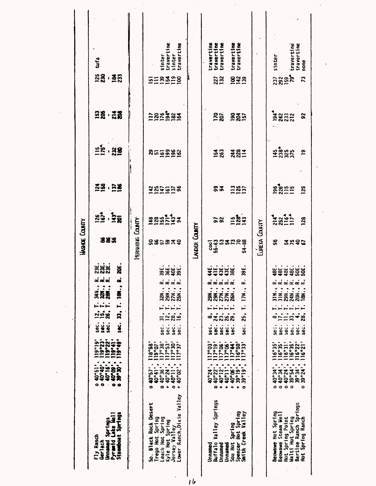|                                                                                   |                                                                                                                                                                                   |                                                                                                                 |                                  |                                                                                  |                                                               |                                         | WASHOE COUNTY             |                                                                                                                                                                                                                                                                                                                                                                                                                |                      |                                  |                            |                 |                                        |
|-----------------------------------------------------------------------------------|-----------------------------------------------------------------------------------------------------------------------------------------------------------------------------------|-----------------------------------------------------------------------------------------------------------------|----------------------------------|----------------------------------------------------------------------------------|---------------------------------------------------------------|-----------------------------------------|---------------------------|----------------------------------------------------------------------------------------------------------------------------------------------------------------------------------------------------------------------------------------------------------------------------------------------------------------------------------------------------------------------------------------------------------------|----------------------|----------------------------------|----------------------------|-----------------|----------------------------------------|
| Stramboat Springs<br>Pyramid Lake Well<br>Unnamed Springs<br>Fly Ranch<br>Gerlach | $\frac{1}{10}$<br>$\frac{1}{10}$<br>$\frac{1}{10}$<br>$\frac{1}{10}$<br>$\frac{1}{10}$<br>10°09'<br>.<br>ន <b>ំន</b><br>$\bullet$<br>$\bullet$<br>۰<br>$\mathcal{F}$<br>$\bullet$ | ٠<br>$\frac{2}{1}$<br>$\frac{2}{1}$<br>$\frac{2}{1}$<br>$\frac{2}{1}$<br>$\frac{2}{1}$<br>ຶ<br>119.49<br>Ē<br>Ë | SOG.<br>sec.<br>se:<br>S<br>sec. | $\ddot{a}$ .<br>ーーー<br>Supe                                                      | ΩŠ<br><b>18N.,</b><br>$\ddot{\cdot}$<br>$\frac{1}{28}$<br>34N | ដូដូដូ<br><b>ក្តុង</b> ក្តុ<br>ă<br>∝≈∝ | 383                       | $\frac{8}{25}$ $\frac{5}{28}$                                                                                                                                                                                                                                                                                                                                                                                  | <u> 성명 · 당</u> 종     | $\frac{15}{12}$ , $\frac{8}{12}$ | <b>88 128</b>              | <b>28.38</b>    | tufa                                   |
|                                                                                   |                                                                                                                                                                                   |                                                                                                                 |                                  |                                                                                  |                                                               |                                         | <b>FERSHIKE COUNTY</b>    |                                                                                                                                                                                                                                                                                                                                                                                                                |                      |                                  |                            |                 |                                        |
| So. Black Rock Desert                                                             | $\bullet$                                                                                                                                                                         | $\frac{118°58}{119°07}$                                                                                         |                                  |                                                                                  |                                                               |                                         |                           |                                                                                                                                                                                                                                                                                                                                                                                                                |                      |                                  | $\overline{1}$             |                 |                                        |
| Trego Hot Spring<br>Leach Hot Spring                                              | $\begin{smallmatrix} 40.57 \\ 40.41 \\ 40.36 \\ \end{smallmatrix}$<br>o                                                                                                           | il7°38'                                                                                                         | sec.                             | Ė<br>$\frac{1}{2}$                                                               | 32N.,                                                         |                                         |                           |                                                                                                                                                                                                                                                                                                                                                                                                                |                      |                                  |                            |                 | sinter                                 |
| Kyle Hot Spring<br>Jersey Valley                                                  | $+40°24$<br>$0.40°11$                                                                                                                                                             | $\frac{117°53}{117°30}$                                                                                         | sec.                             | $\mathbf{L}$                                                                     | 29N.,                                                         |                                         |                           |                                                                                                                                                                                                                                                                                                                                                                                                                |                      |                                  |                            |                 | travertine                             |
| Lower Ranch, Dixie Valley                                                         | 40°02<br>$\ddot{\phantom{1}}$                                                                                                                                                     | 117°37                                                                                                          | sec.<br>sec.                     | Ė<br>ည္ဆံဆံ့                                                                     | <u>ai ai ai ai</u><br>$27N$<br>$25N$                          |                                         | <b>2823358</b>            | $\begin{array}{@{}c@{\hspace{1em}}c@{\hspace{1em}}c@{\hspace{1em}}c@{\hspace{1em}}c@{\hspace{1em}}c@{\hspace{1em}}c@{\hspace{1em}}c@{\hspace{1em}}c@{\hspace{1em}}c@{\hspace{1em}}c@{\hspace{1em}}c@{\hspace{1em}}c@{\hspace{1em}}c@{\hspace{1em}}c@{\hspace{1em}}c@{\hspace{1em}}c@{\hspace{1em}}c@{\hspace{1em}}c@{\hspace{1em}}c@{\hspace{1em}}c@{\hspace{1em}}c@{\hspace{1em}}c@{\hspace{1em}}c@{\hspace{$ | <u>225558</u>        | <u>នកចន្ទន្ទន</u>                | 252428                     | $5 = 222$       | travertine<br>sinter                   |
|                                                                                   |                                                                                                                                                                                   |                                                                                                                 |                                  |                                                                                  |                                                               |                                         | LAVDER COUNTY             |                                                                                                                                                                                                                                                                                                                                                                                                                |                      |                                  |                            |                 |                                        |
| Valley Springs<br>Buffalo<br>Unnamed<br>Unnamed                                   | $40°22$<br>$40°22$<br>$40°12$<br>$\ddotmark$<br>o                                                                                                                                 | l17°19<br>$\frac{117°06}{117°06}$<br>17°03                                                                      | sec.<br>ပ္သံ<br>Sec.             | $\mathbf{L}$<br>$\ddot{=}$<br>នាំជំនួន<br>ၜၨ                                     | ai ai ai ai ai<br>$29M.$<br>$27M.$<br>29N.,                   |                                         | $55 - 63$<br>cool         | 58                                                                                                                                                                                                                                                                                                                                                                                                             | 53                   | <b>154</b><br>263                | <b>170</b><br>207          | 227<br>132      | travertine<br>travertine<br>travertine |
| Sou Hot Spring<br>Unnamed                                                         | 40°06'<br>40°11<br>$\ddot{\bullet}$<br>$\ddotmark$                                                                                                                                | 117°44'                                                                                                         | sec.<br>sec.                     | Ė                                                                                | <b>26N.</b>                                                   |                                         | 5322                      |                                                                                                                                                                                                                                                                                                                                                                                                                |                      |                                  |                            |                 | travertine                             |
| Spencer Hot Spring<br>Valley<br>Smith Creek                                       | 39°19'<br>39°19'<br>۰<br>۰                                                                                                                                                        | 116°50'<br>117°33                                                                                               | .<br>Sec.                        | Ļ<br>25,                                                                         | ئە<br><b>IZN.,</b>                                            | 39E                                     | 54-88                     | <b>Ega</b>                                                                                                                                                                                                                                                                                                                                                                                                     | <b>285</b>           | $382$<br>$787$                   | <b>1904</b><br>2015<br>157 | <b>SH2</b>      | travertine                             |
|                                                                                   |                                                                                                                                                                                   |                                                                                                                 |                                  |                                                                                  |                                                               |                                         | EUREKA COUNTY             |                                                                                                                                                                                                                                                                                                                                                                                                                |                      |                                  |                            |                 |                                        |
| Beowawe Hot Spring<br>Beowawe Steam Well                                          | $40°34'$ ;<br>$40°34'$ ;<br>$40°24'$ ;<br>ة                                                                                                                                       | $\frac{116°35'}{116°35'}$                                                                                       | sec.<br>္မ                       | ္တဲ                                                                              | 31N.,                                                         |                                         | $\boldsymbol{\mathsf{a}}$ | $\frac{1}{2}$ $\frac{1}{2}$ $\frac{1}{2}$ $\frac{1}{2}$ $\frac{1}{2}$ $\frac{1}{2}$                                                                                                                                                                                                                                                                                                                            | <b>98555</b><br>2855 | $145$<br>$2384$<br>$375$         | $\frac{4}{9}$ 232          | <u>និង និ</u> ង | sinter                                 |
| Bartine Ranch Springs<br>Walti Hot Spring<br>Hot Spring Point                     | 39°54'<br>39°34'<br>$\overline{\circ}$ $\overline{\circ}$                                                                                                                         | 116°31'<br>116°35                                                                                               | sec.<br>se.                      | $\div$<br>$\overline{L}$<br>$\mathbf{L}$<br>$=$ $\frac{1}{2}$ $\frac{1}{2}$<br>÷ | ai ai ai ai ai<br>201.                                        | <b>SERBER</b>                           | 2545                      |                                                                                                                                                                                                                                                                                                                                                                                                                |                      |                                  |                            |                 | travertine                             |
| Hot Spring Ranch                                                                  | 39°24<br>$\bullet$                                                                                                                                                                | $116°22$<br>$116°21$                                                                                            | sec.<br>Se.                      | 28,                                                                              | $\frac{3}{8}$                                                 |                                         |                           | 128                                                                                                                                                                                                                                                                                                                                                                                                            | 125                  | ድ                                | <b>Sc</b>                  | 73              | travertine<br>none                     |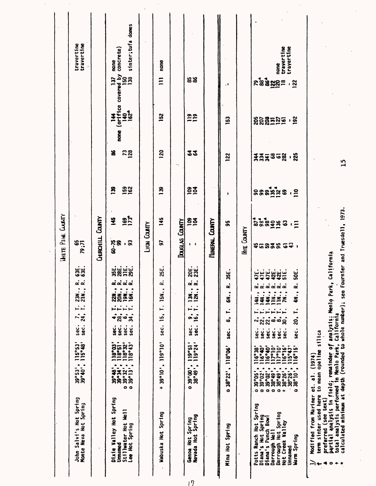|                                                                                                                                                                                                                                |                                                                                                                                                                                                                                  |                                                      |                                                                             |                                           |                                                                                       |                         | <b>UNITE PIKE CUBITY</b>     |                                                                                   |                               |                              |                                        |                                      |                                         |
|--------------------------------------------------------------------------------------------------------------------------------------------------------------------------------------------------------------------------------|----------------------------------------------------------------------------------------------------------------------------------------------------------------------------------------------------------------------------------|------------------------------------------------------|-----------------------------------------------------------------------------|-------------------------------------------|---------------------------------------------------------------------------------------|-------------------------|------------------------------|-----------------------------------------------------------------------------------|-------------------------------|------------------------------|----------------------------------------|--------------------------------------|-----------------------------------------|
| John Salvi's Hot Spring<br>Monte Neva Hot Spring                                                                                                                                                                               | $39^{\circ}53'$ ;<br>$39^{\circ}40'$ ;                                                                                                                                                                                           | $115°53'$<br>$115°48'$                               | $\vec{r}$<br>sec.<br>sec.                                                   | تبرتير                                    | $\dot{\alpha}$ $\dot{\alpha}$<br>23M                                                  | 535                     | 12°62<br>12°62               |                                                                                   |                               |                              |                                        |                                      | travertine<br>travertine                |
| $\bullet$                                                                                                                                                                                                                      |                                                                                                                                                                                                                                  |                                                      |                                                                             |                                           |                                                                                       |                         | CHIRCHILL COUNTY             |                                                                                   |                               |                              |                                        |                                      |                                         |
| Dixie Valley Hot Spring<br>Stillwater Hot Well<br>Lee Hot Spring<br>Umaned                                                                                                                                                     | ۰<br>۰<br>$\bullet$ $\circ$                                                                                                                                                                                                      | 118°51<br>118°32<br>118°43<br>$18^{\circ}03^{\circ}$ | $-2\frac{1}{2}$<br>$\overline{\mathbf{34}}$<br>sec.<br>្ញុំ<br>sec.<br>sec. | تباتياتيا<br>$\mathbf{L}$<br>$\mathbf{6}$ | ciciciai<br>$\ddot{\cdot}$<br>20N.,<br><b>19N.,</b><br>$\bullet$<br>2ă<br>$\tilde{a}$ | ឃុំឃុំឃុំឃុំ<br>ភូនីកីន | 60-75<br>99<br>. ន           | <b>162</b><br>271<br><b>望</b>                                                     | <b>922</b><br>B               | <b>728</b><br>8              | (orifice<br>$140^{\circ}$<br>i<br>none | covered by<br>150<br>130<br><b>F</b> | sinter; tufa domes<br>concrete)<br>none |
|                                                                                                                                                                                                                                |                                                                                                                                                                                                                                  |                                                      |                                                                             |                                           |                                                                                       |                         | Lyon Courty                  |                                                                                   |                               |                              |                                        |                                      |                                         |
| Spring<br>Wabuska Hot                                                                                                                                                                                                          | 119°10'<br>$\ddot{\phantom{0}}$<br>39°10'<br>÷                                                                                                                                                                                   |                                                      | 15,<br>sec.                                                                 | i.                                        | .<br>غە<br><b>15N.,</b>                                                               | 25E                     | 5                            | 145                                                                               | ଅ<br>-                        | 120                          | 152                                    | $\Xi$                                | none                                    |
|                                                                                                                                                                                                                                | $\hat{\phantom{a}}$                                                                                                                                                                                                              |                                                      |                                                                             |                                           |                                                                                       |                         | Douglas County               |                                                                                   |                               | ۰.                           |                                        |                                      |                                         |
| Nevada Hot Spring<br>Spring<br>Genoa Hot                                                                                                                                                                                       | $119°51'$<br>$119°24'$<br>٠<br>$\blacksquare$<br>•<br>និង<br>១៩<br>១៣<br>ö                                                                                                                                                       |                                                      | sec. 16,<br>ပ္သံ                                                            | $\bullet$<br>⊶ ⊶<br>ລົ                    | $\dot{\alpha}$ $\dot{\alpha}$<br>$\ddot{\cdot}$<br>12N.,<br>$\frac{30}{20}$           | $\frac{1}{25}$          | $\overline{\mathbf{1}}$<br>٠ | <u>ጀጀ</u>                                                                         | 22                            | 33                           | 22                                     | <b>28</b>                            |                                         |
|                                                                                                                                                                                                                                |                                                                                                                                                                                                                                  |                                                      |                                                                             |                                           |                                                                                       |                         | HINERAL COUNTY               |                                                                                   |                               |                              |                                        |                                      |                                         |
| Mina Hot Spring                                                                                                                                                                                                                | .118°06'<br>038°22'                                                                                                                                                                                                              | ري<br>\$8                                            | န္တ<br>٠                                                                    | $\ddot{ }$                                | m<br>œ<br>6N.,                                                                        | 55                      |                              | 55                                                                                | ٠                             | 122                          | 153                                    | - 1                                  |                                         |
|                                                                                                                                                                                                                                |                                                                                                                                                                                                                                  |                                                      |                                                                             |                                           |                                                                                       |                         | <b>INE COUNTY</b>            |                                                                                   |                               |                              |                                        |                                      |                                         |
| $\bullet$<br>$\bullet$<br>$\bullet$<br>$\circ$ +<br>$\bullet$<br>۰<br>Potts Ranch Hot Spring<br>Darrough Hot Spring<br>Diana's Hot Spring<br>Diana's Punch Bowl<br>Hot Creek Valley<br>Darrough Hell<br>Warm Spring<br>Unnamed | 116°40'<br>116°40'<br>117°10'<br>$\frac{117°10}{116°16}$<br>116°38'<br>116°15<br>$\blacksquare$<br>٠<br>39°02'<br>38°49'.<br>$38^{\circ}10^{\circ}$<br>$30^{\circ}02^{\circ}$<br>38°26'<br>38°26'<br>$30^{\circ}05^{\circ}$<br>× | sec.<br>sec.<br>sec.<br>sec.<br>sec.<br>sec.         | .<br>လူလူထံထံ<br>వ్ల<br>ຆ                                                   | $\bullet$<br>Ļ,<br>- <del>1 - 1 -</del>   | u,<br>ئە<br>144.,<br><b>14N.,</b><br>IIN.,<br>141.,<br>IN.,<br>7N.,                   | <b>NHHWWH</b><br>ĕ      | <b>粘幻的似的 6年</b> 1            | $\begin{array}{c}\n 1 \\  2 \\  3 \\  4 \\  6 \\  8\n \end{array}$<br>$\cdot \Xi$ | និន្ននិង្គិន<br>$\frac{2}{1}$ | <b>ទ្ព័ន្ធ</b> ទី ១ន័<br>. ಜ | <b>888525</b><br><u>, २०</u>           | <u>ៜន្ទន្ទដីដូ</u> ង<br><u>, २</u>   | none<br>travertine<br>travertine        |
|                                                                                                                                                                                                                                |                                                                                                                                                                                                                                  | Sec.                                                 | ລຸ່                                                                         |                                           | $\ddot{=}$                                                                            |                         |                              |                                                                                   |                               |                              |                                        |                                      |                                         |
| term sinter used here to mean opaline silica<br>Modified from Mariner et.<br>preferred (see text)<br>◀<br>⊷<br>$\overline{\phantom{a}}$                                                                                        | (1974)<br>$\ddot{a}$                                                                                                                                                                                                             |                                                      |                                                                             |                                           |                                                                                       |                         |                              |                                                                                   |                               |                              |                                        |                                      |                                         |

 $\sqrt{7}$ 

 $\frac{15}{1}$ 

 $\ddot{\phantom{0}}$ 

 $\ddot{\phantom{0}}$ 

 $\ddot{\phantom{a}}$ 

 $\ddot{\phantom{0}}$ 

whole number); see Fournier and Truesdell, 1973. 15

\* calculated minimum at depth (rounded to en and Truesdo International Company of the Manded Company of See Fournier and Truesdoll, 1973.<br>A calculated minimum at depth (rounded to whole number); see Fournier and Truesdoll, 1973.

 $\ddot{\phantom{0}}$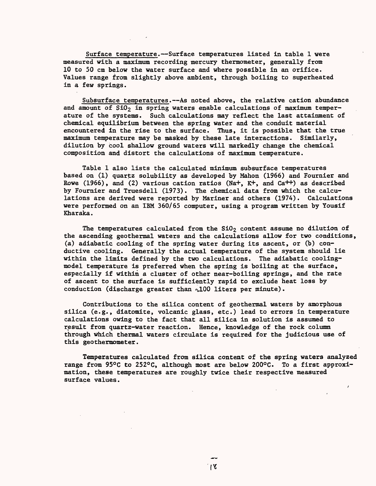Surface temperature.--Surface temperatures listed in table 1 were measured with a maximum recording mercury thermometer, generally from 10 to 50 cm below the water surface and where possible in an orifice. Values range from slightly above ambient, through boiling to superheated in a few springs.

Subsurface temperatures.--As noted above, the relative cation abundance and amount of  $SiO<sub>2</sub>$  in spring waters enable calculations of maximum temperature of the systems. Such calculations may reflect the last attainment of chemical equilibrium between the spring water and the conduit material encountered in the rise to the surface. Thus, it is possible that the true maximum temperature may be masked by these late interactions. Similarly, dilution by cool shallow ground waters will markedly change the chemical composition and distort the calculations of maximum temperature.

Table 1 also lists the calculated minimum subsurface temperatures based on (1) quartz solubility as developed by Mahon (1966) and Fournier and Rowe (1966), and (2) various cation ratios (Na+,  $K^+$ , and Ca<sup>++</sup>) as described by Fournier and Truesdell (1973). The chemical data from which the calculations are derived were reported by Mariner and others (1974). Calculations were performed on an IBM 360/65 computer, using a program written by Yousif Kharaka.

The temperatures calculated from the  $SiO<sub>2</sub>$  content assume no dilution of the ascending geothermal waters and the calculations allow for two conditions, (a) adiabatic cooling of the spring water during its ascent, or (b) conductive cooling. Generally the actual temperature of the system should lie within the limits defined by the two calculations. The adiabatic coolingmodel temperature is preferred when the spring is boiling at the surface, especially if within a cluster of other near-boiling springs, and the rate of ascent to the surface is sufficiently rapid to exclude heat loss by conduction (discharge greater than  $\sqrt{100}$  liters per minute).

Contributions to the silica content of geothermal waters by amorphous silica (e.g., diatomite, volcanic glass, etc.) lead to errors in temperature calculations owing to the fact that all silica in solution is assumed to result from quartz-water reaction. Hence, knowledge of the rock column through which thermal waters circulate is required for the judicious use of this geothermometer.

Temperatures calculated from silica content of the spring waters analyzed range from 95°C to 252°C, although most are below 200°C. To a first approximation, these temperatures are roughly twice their respective measured surface values.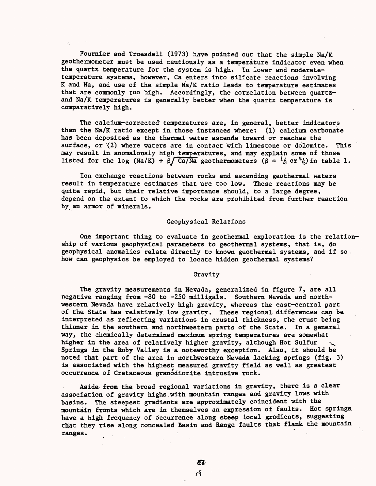Fournier and Truesdell (1973) have pointed out that the simple Na/K geothermometer must be used cautiously as a temperature indicator even when the quartz temperature for the system is high. In lower and moderatetemperature systems, however, Ca enters into silicate reactions involving K and Na, and use of the simple Na/K ratio leads to temperature estimates that are commonly too high. Accordingly, the correlation between quartzand Na/K temperatures is generally better when the quartz temperature is comparatively high.

The calcium-corrected' temperatures are, in general, better indicators than the Na/K ratio except in those instances where: (1) calcium carbonate has been deposited as the thermal water ascends toward or reaches the surface, or (2) where waters are in contact with limestone or dolomite. This may result in anomalously high temperatures, and may explain some of those listed for the log (Na/K) +  $\beta$ /Ca/Na geothermometers ( $\beta = \frac{1}{\beta}$  or  $\frac{\mu}{\beta}$ ) in table 1.

Ion exchange reactions between rocks and ascending geothermal waters result in temperature estimates that 'are too low. These reactions may be quite rapid, but their relative importance should, to a large degree, depend on the extent to which the rocks are prohibited from further reaction by an armor of minerals.

## Geophysical Relations

One important thing to evaluate in geothermal exploration is the relationship of various geophysical parameters to geothermal systems, that is, do geophysical anomalies relate directly to known geothermal systems, and if so. how can geophysics be employed to locate hidden geothermal systems?

### Gravity

The gravity measurements in Nevada, generalized in figure 7, are all negative ranging from -80 to -250 milligals. Southern Nevada and northwestern Nevada have relatively high gravity, whereas the east-central part of the State has relatively low gravity. These regional differences can be interpreted as reflecting variations in crustal thickness, the crust being thinner in the southern and northwestern parts of the State. In a general way, the chemically determined maximum spring temperatures are somewhat higher in the area of relatively higher gravity, although Hot Sulfur Springs in the Ruby Valley is a noteworthy exception. Also, it should be noted that part of the area in northwestern Nevada lacking springs (fig. 3) is associated with the highest measured gravity field as well as greatest occurrence of Cretaceous granodiorite intrusive rock.

Aside from the broad regional variations in gravity, there is a clear association of gravity highs with mountain ranges and gravity lows with basins. The steepest gradients are approximately coincident with the mountain fronts which are in themselves an expression of faults. Hot springs, have a high frequency of occurrence along steep local gradients, suggesting that they rise along concealed Basin and Range faults that flank the mountain ranges.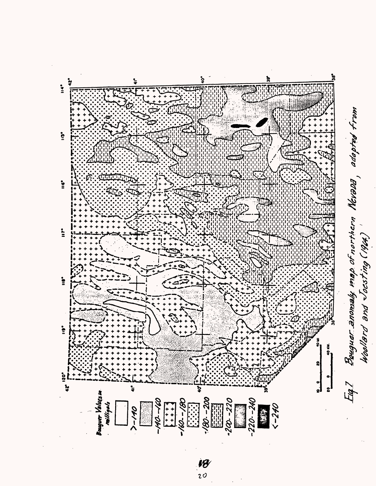

vØ  $20$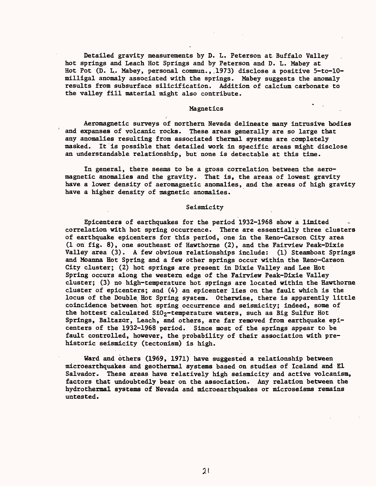Detailed gravity measurements by D. L. Peterson at Buffalo Valley hot springs and Leach Hot Springs and by Peterson and D. L. Mabey at Hot Pot (D. L. Mabey, personal commun., 1973) disclose a positive 5-to-10milligal anomaly associated with the springs. Mabey suggests the anomaly results from subsurface silicification. Addition of calcium carbonate to the valley fill material might also contribute.

### Magnetics

f

Aeromagnetic surveys of northern Nevada delineate many intrusive bodies and expanses of volcanic rocks. These areas generally are so large that any anomalies resulting from associated thermal systems are completely masked. It is possible that detailed work in specific areas might disclose an understandable relationship, but none is detectable at this time.

In general, there seems to be a gross correlation between the aeromagnetic anomalies and the gravity. That is, the areas of lowest gravity have a lower density of aeromagnetic anomalies, and the areas of high gravity have a higher density of magnetic anomalies.

#### Seismicity

Epicenters of earthquakes for the period 1932-1968 show a limited correlation with hot spring occurrence. There are essentially three clusters of earthquake epicenters for this period, one in the Reno-Carson City area (1 on fig. 8), one southeast of Hawthorne (2), and the Fairview Peak-Dixie Valley area (3). A few obvious relationships include: (1) Steamboat Springs and Moanna Hot Spring and a few other springs occur within the Reno-Carson City cluster; (2) hot springs are present in Dixie Valley and Lee Hot Spring occurs along the western edge of the Fairview Peak-Dixie Valley cluster; (3) no high-temperature hot springs are located within the Hawthorne cluster of epicenters; and (4) an epicenter lies on the fault which is the locus of the Double Hot Spring system. Otherwise, there is apparently little coincidence between hot spring occurrence and seismicity; indeed, some of the hottest calculated SiO<sub>2</sub>-temperature waters, such as Big Sulfur Hot Springs, Baltazor, Leach, and others, are far removed from earthquake epicenters of the 1932-1968 period. Since most of the springs appear to be fault controlled, however, the probability of their association with prehistoric seismicity (tectonism) is high.

Ward and others (1969, 1971) have suggested a relationship between microearthquakes and geothermal systems based on studies of Iceland and El Salvador. These areas have relatively high seismicity and active volcanism, factors that undoubtedly bear on the association. Any relation between the hydrothermal systems of Nevada and microearthquakes or microseisms remains untested.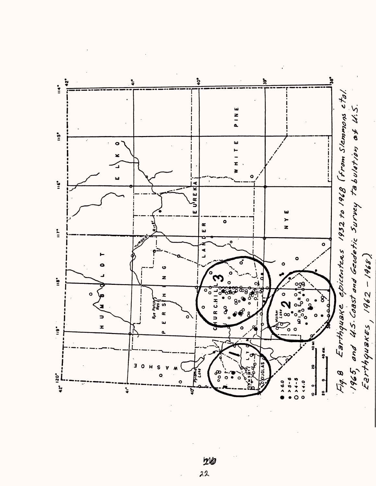



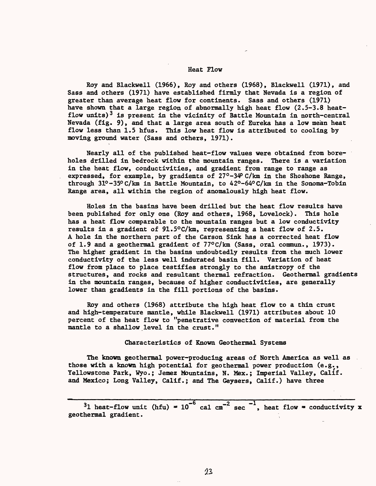### Heat Flow

Roy and Blackwell (1966), Roy and others (1968), Blackwell (1971), and Sass and others (1971) have established firmly that Nevada is a region of greater than average heat flow for continents. Sass and others (1971) have shown that a large region of abnormally high heat flow (2.5-3.8 heatflow units)<sup>3</sup> is present in the vicinity of Battle Mountain in north-central Nevada (fig. 9), and that a large area south of Eureka has a low mean heat flow less than 1.5 hfus. This low heat flow is attributed to cooling by moving ground water (Sass and others, 1971).

Nearly all of the published heat-flow values were obtained from boreholes drilled in bedrock within the mountain ranges. There is a variation in the heat flow, conductivities, and gradient from range to range as expressed, for example, by gradients of  $27^{\circ}$ -34 C/km in the Shoshone Range, through 31°-35° C/km in Battle Mountain, to 42°-64°C/km in the Sonoma-Tobin Range area, all within the region of anomalously high heat flow.

Holes in the basins have been drilled but the heat flow results have been published for only one (Roy and others, 1968, Lovelock). This hole has a heat flow comparable to the mountain ranges but a low conductivity results in a gradient of 91.5°C/km, representing a heat flow of 2.5. A hole in the northern part of the Carson Sink has a corrected heat flow of 1.9 and a geothermal gradient of 77°C/km (Sass, oral commun., 1973). The higher gradient in the basins undoubtedly results from the much lower conductivity of the less well indurated basin fill. Variation of heat flow from place to place testifies strongly to the anistropy of the structures, and rocks and resultant thermal refraction. Geothermal gradients in the mountain ranges, because of higher conductivities, are generally lower than gradients in the fill portions of the basins.

Roy and others (1968) attribute the high heat flow to a thin crust and high-temperature mantle, while Blackwell (1971) attributes about 10 percent of the heat flow to "penetrative convection of material from the mantle to a shallow level in the crust."

Characteristics of Known Geothermal Systems

The known geothermal power-producing areas of North America as well as those with a known high potential for geothermal power production (e.g., Yellowstone Park, Wyo.; Jemez Mountains, N. Mex.; Imperial Valley, Calif, and Mexico; Long Valley, Calif.; and The Geysers, Calif.) have three

<sup>3</sup>1 heat-flow unit (hfu) =  $10^{-6}$  cal cm<sup>-2</sup> sec<sup>-1</sup>, heat flow = conductivity x geothermal gradient.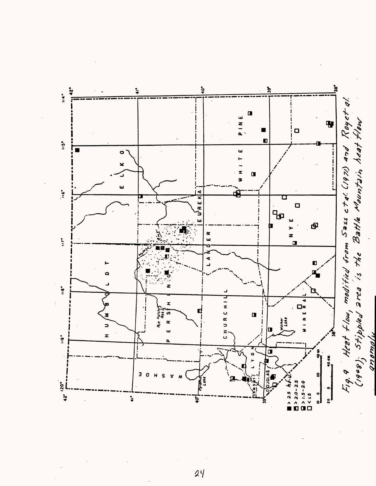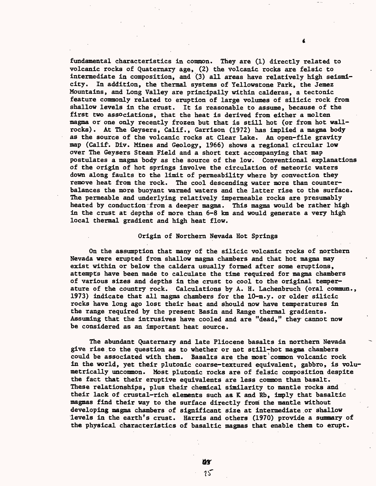fundamental characteristics in common. They are (1) directly related to volcanic rocks of Quaternary age, (2) the volcanic rocks are felsic to intermediate in composition, and (3) all areas have relatively high seismicity. In addition, the thermal systems of Yellowstone Park, the Jemez Mountains, and Long Valley are principally within calderas, a tectonic feature commonly related to eruption of large volumes of silicic rock from shallow levels in the crust. It is reasonable to assume, because of the first two associations, that the heat is derived from either a molten magma or one only recently frozen but that is still hot (or from hot wallrocks) . At The Geysers, Calif., Garrison (1972) has implied a magma body as the source of the volcanic rocks at Clear Lake. An open-file gravity map (Calif-. Div. Mines and Geology, 1966) shows a regional circular low over The Geysers Steam Field and a short text accompanying that map postulates a magma body as the source of the low. Conventional explanations of the origin of hot springs involve the circulation of meteoric waters down along faults to the limit of permeability where by convection they remove heat from the rock. The cool descending water more than counterbalances the more buoyant warmed waters and the latter rise to the surface. The permeable and underlying relatively impermeable rocks are presumably heated by conduction from a deeper magma. This magma would be rather high in the crust at depths of more than 6-8 km and would generate a very high local thermal gradient and high heat flow.

## Origin of Northern Nevada Hot Springs

On the assumption that many of the silicic volcanic rocks of northern Nevada were erupted from shallow magma chambers and that hot magma may exist within or below the caldera usually formed after some eruptions, attempts have been made to calculate the time required for magma chambers of various sizes and depths in the crust to cool to the original temperature of the country rock. Calculations by A. H. Lachenbruch (oral commun., 1973) indicate that all magma chambers for the 10-m.y. or older silicic rocks have long ago lost their heat and should now have temperatures in the range required by the present Basin and Range thermal gradients. Assuming that the intrusives have cooled and are "dead," they cannot now be considered as an important heat source.

The abundant Quaternary and late Pliocene basalts in northern Nevada give rise to the question as to whether or not still-hot magma chambers could be associated with them. Basalts are the most common volcanic rock in the world, yet their plutonic coarse-textured equivalent, gabbro, is volumetrically uncommon. Most plutonic rocks are of felsic composition despite the fact that their eruptive equivalents are less common than basalt. These relationships, plus their chemical similarity to mantle rocks and their lack of crustal-rich elements such as K and Rb, imply that basaltic magmas find their way to the surface directly from the mantle without developing magma chambers of significant size at intermediate or shallow levels in the earth's crust. Harris and others (1970) provide a summary of the physical characteristics of basaltic magmas that enable them to erupt.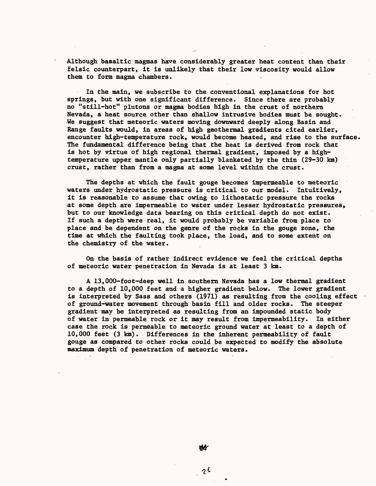Although basaltic magmas have considerably greater heat content than their felsic counterpart, it is unlikely that their low viscosity would allow them to form magma chambers.

In the main, we subscribe to the conventional explanations for hot springs, but with one significant difference. Since there are probably no "still-hot" plutons or magma bodies high in the crust of northern Nevada, a heat source other than shallow intrusive bodies must be sought. We suggest that meteoric waters moving downward deeply along Basin and Range faults would, in areas of high geothermal gradients cited earlier, encounter high-temperature rock, would become heated, and rise to the surface. The fundamental difference being that the heat is derived from rock that is hot by virtue of high regional thermal gradient, imposed by a hightemperature upper mantle only partially blanketed by the thin (29-30 km) crust, rather than from a magma at some level within the crust.

The depths at which the fault gouge becomes impermeable to meteoric waters under hydrostatic pressure is critical to our model. Intuitively, it is reasonable to assume that owing to lithostatic pressure the rocks at some depth are impermeable to water under lesser hydrostatic pressures, but to our knowledge data bearing on this critical depth do not exist. If such a depth were real, it would probably be variable from place to place and be dependent on the genre of the rocks in the gouge zone, the time at which the faulting took place, the load, and to some extent on the chemistry of the water.

On the basis of rather indirect evidence we feel the critical depths of meteoric water penetration in Nevada is at least 3 km.

A 13,000-foot-deep well in southern Nevada has a low thermal gradient to a depth of 10,000 feet and a higher gradient below. The lower gradient is interpreted by Sass and others (1971) as resulting from the cooling effect of ground-water movement through basin fill and older rocks. The steeper gradient may be interpreted as resulting from an impounded static body of water in permeable rock or it may result from impermeability. In either case the rock is permeable to meteoric ground water at least to a depth of 10,000 feet (3 km). Differences in the inherent permeability of fault gouge as compared to other rocks could be expected to modify the absolute maximum depth of penetration of meteoric waters.

 $2<sup>1</sup>$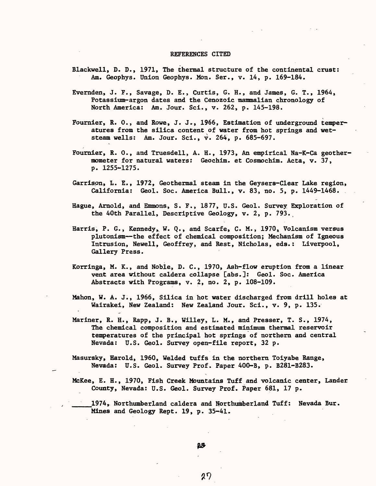### REFERENCES CITED

- Blackwell, D. D., 1971, The thermal structure of the continental crust: Am. Geophys. Union Geophys. Mon. Ser., v. 14, p. 169-184.
- Evernden, J. F., Savage, D. E., Curtis, G. H., and James, G. T., 1964, Potassium-argon dates and the Cenozoic mammalian chronology of North America: Am. Jour. Sci., v. 262, p. 145-198.
- Fournier, R. 0., and Rowe, J. J., 1966, Estimation of underground temperatures from the silica content of water from hot springs and wetsteam wells: Am. Jour. Sci., v. 264, p. 685-697.
- Fournier, R. 0., and Truesdell, A. H., 1973, An empirical Na-K-Ca geothermometer for natural waters: Geochim. et Cosmochim. Acta, v. 37, p. 1255-1275.
- Garrison, L. E., 1972, Geothermal steam in the Geysers-Clear Lake region, California: Geol. Soc. America Bull., v. 83, no. 5, p. 1449-1468.
- Hague, Arnold, and Emmons, S. F., 1877, U.S. Geol. Survey Exploration of the 40th Parallel, Descriptive Geology, v. 2, p. 793.
- Harris, P. G., Kennedy, W. Q., and Scarfe, C. M., 1970, Volcanism versus plutonism--the effect of chemical composition; Mechanism of Igneous Intrusion, Newell, Geoffrey, and Rest, Nicholas, eds.: Liverpool, Gallery Press.
- Korringa, M. K., and Noble, D. C., 1970, Ash-flow eruption from a linear vent area without caldera collapse [abs.]: Geol. Soc. America Abstracts with Programs, v. 2, no. 2, p. 108-109.
- Mahon, W. A. J., 1966, Silica in hot water discharged from drill holes at Wairakei, New Zealand: New Zealand Jour. Sci., v. 9, p. 135.
- Mariner, R. H., Rapp, J. B., Willey, L. M., and Presser, T. S., 1974, The chemical composition and estimated minimum thermal reservoir temperatures of the principal hot springs of northern and central Nevada: U.S. Geol. Survey open-file report, 32 p.
- Masursky, Harold, 1960, Welded tuffs in the northern Toiyabe Range, Nevada: U.S. Geol. Survey Prof. Paper 400-B, p. B281-B283.
- McKee, E. H., 1970, Fish Creek Mountains Tuff and volcanic center, Lander County, Nevada: U.S. Geol. Survey Prof. Paper 681, 17 p.

1974, Northumberland caldera and Northumberland Tuff: Nevada Bur. Mines and Geology Rept. 19, p. 35-41.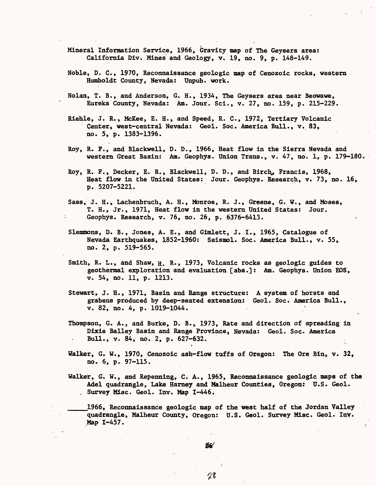- Mineral Information Service, 1966, Gravity map of The Geysers area: California Div. Mines and Geology, v. 19, no. 9, p. 148-149.
- Noble, D. C., 1970, Reconnaissance geologic map of Cenozoic rocks, western Humboldt County, Nevada: Unpub. work.
- Nolan, T. B., and Anderson, G. H., 1934, The Geysers area near Beowawe, Eureka County, Nevada: Am. Jour. Sci., v. 27, no. 159, p. 215-229.
- Riehle, J. R., McKee, E. H., and Speed, R. C., 1972, Tertiary Volcanic Center, west-central Nevada: Geol. Soc. America Bull., v. 83, no. 5, p. 1383-1396.
- Roy, R. F., and Blackwell, D. D., 1966, Heat flow in the Sierra Nevada and western Great Basin: Am. Geophys. Union Trans., v. 47, no. 1, p. 179-180.
- Roy, R. F., Decker, E. R., Blackwell, D. D., and Birch., Francis, 1968, Heat flow in the United States: Jour. Geophys. Research, v. 73, no. 16, p. 5207-5221.
- Sass, J. H., Lachenbruch, A. H., Monroe, R. J., Greene, G. W., and Moses, T. H., Jr., 1971, Heat flow in the western United States: Jour. Geophys. Research, v. 76, no. 26, p. 6376-6413. >
- Slemmons, D. B., Jones, A. E., and Gimlett, J. I., 1965, Catalogue of Nevada, Earthquakes, 1852-1960: Seismol. Soc. America Bull., v. 55, no. 2, p. 519-565.
- Smith, R. L., and Shaw,  $H_1$ . R., 1973, Volcanic rocks as geologic guides to geothermal exploration and evaluation [abs.]: Am. Geophys. Union EOS, v. 54, no. 11, p. 1213.
- Stewart, J. H., 1971, Basin and Range structure: A system of horsts and grabens produced by deep-seated extension: Geol. Soc. America Bull., v. 82, no. 4, p. 1019-1044.
- Thompson, G. A., and Burke, D. B., 1973, Rate and direction of spreading in Dixie Bailey Basin and Range Province, Nevada: Geol. Soc. America Bull., v. 84, no. 2, p. 627-632.
- Walker, G. W., 1970, Cenozoic ash-flow tuffs of Oregon: The Ore Bin, v. 32, no. 6, p. 97-115.
- Walker, G. W., and Repenning, C. A., 1965, Reconnaissance geologic maps of the Adel quadrangle, Lake Harney and Malheur Counties, Oregon: U.S. Geol. , Survey Misc. Geol. Inv. Map 1-446.

1966, Reconnaissance geologic map of the west half of the Jordan Valley quadrangle, Malheur County, Oregon: U.S. Geol. Survey Misc. Geol. Inv. Map 1-457.